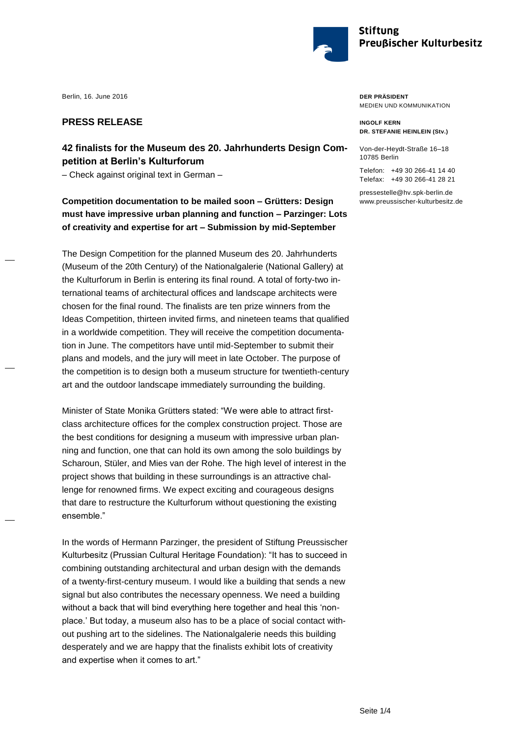

## **PRESS RELEASE**

## **42 finalists for the Museum des 20. Jahrhunderts Design Competition at Berlin's Kulturforum**

- Check against original text in German -

**Competition documentation to be mailed soon – Grütters: Design must have impressive urban planning and function – Parzinger: Lots of creativity and expertise for art – Submission by mid-September**

The Design Competition for the planned Museum des 20. Jahrhunderts (Museum of the 20th Century) of the Nationalgalerie (National Gallery) at the Kulturforum in Berlin is entering its final round. A total of forty-two international teams of architectural offices and landscape architects were chosen for the final round. The finalists are ten prize winners from the Ideas Competition, thirteen invited firms, and nineteen teams that qualified in a worldwide competition. They will receive the competition documentation in June. The competitors have until mid-September to submit their plans and models, and the jury will meet in late October. The purpose of the competition is to design both a museum structure for twentieth-century art and the outdoor landscape immediately surrounding the building.

Minister of State Monika Grütters stated: "We were able to attract firstclass architecture offices for the complex construction project. Those are the best conditions for designing a museum with impressive urban planning and function, one that can hold its own among the solo buildings by Scharoun, Stüler, and Mies van der Rohe. The high level of interest in the project shows that building in these surroundings is an attractive challenge for renowned firms. We expect exciting and courageous designs that dare to restructure the Kulturforum without questioning the existing ensemble."

In the words of Hermann Parzinger, the president of Stiftung Preussischer Kulturbesitz (Prussian Cultural Heritage Foundation): "It has to succeed in combining outstanding architectural and urban design with the demands of a twenty-first-century museum. I would like a building that sends a new signal but also contributes the necessary openness. We need a building without a back that will bind everything here together and heal this 'nonplace.' But today, a museum also has to be a place of social contact without pushing art to the sidelines. The Nationalgalerie needs this building desperately and we are happy that the finalists exhibit lots of creativity and expertise when it comes to art."

**DER PRÄSIDENT** MEDIEN UND KOMMUNIKATION

**INGOLF KERN DR. STEFANIE HEINLEIN (Stv.)**

Von-der-Heydt-Straße 16–18 10785 Berlin

Telefon: +49 30 266-41 14 40 Telefax: +49 30 266-41 28 21

[pressestelle@hv.spk-berlin.de](mailto:pressestelle@hv.spk-berlin.de) [www.preussischer-kulturbesitz.de](file://///192.168.2.6/cosmostation/02_projects/spk/02_conceptual_design/Wordvorlagen-barrierefreiePdfs/Originalvorlagen-SPK/mit-Text/www.preussischer-kulturbesitz.de)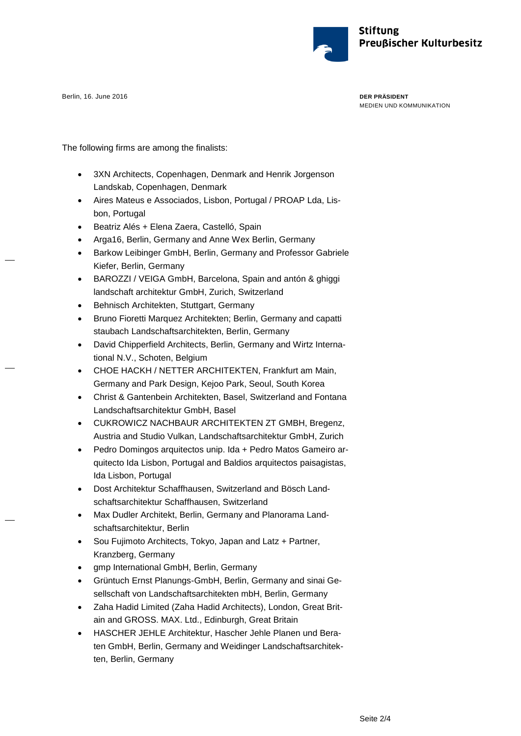

**DER PRÄSIDENT** MEDIEN UND KOMMUNIKATION

The following firms are among the finalists:

- 3XN Architects, Copenhagen, Denmark and Henrik Jorgenson Landskab, Copenhagen, Denmark
- Aires Mateus e Associados, Lisbon, Portugal / PROAP Lda, Lisbon, Portugal
- Beatriz Alés + Elena Zaera, Castelló, Spain
- Arga16, Berlin, Germany and Anne Wex Berlin, Germany
- Barkow Leibinger GmbH, Berlin, Germany and Professor Gabriele Kiefer, Berlin, Germany
- BAROZZI / VEIGA GmbH, Barcelona, Spain and antón & ghiggi landschaft architektur GmbH, Zurich, Switzerland
- Behnisch Architekten, Stuttgart, Germany
- Bruno Fioretti Marquez Architekten; Berlin, Germany and capatti staubach Landschaftsarchitekten, Berlin, Germany
- David Chipperfield Architects, Berlin, Germany and Wirtz International N.V., Schoten, Belgium
- CHOE HACKH / NETTER ARCHITEKTEN, Frankfurt am Main, Germany and Park Design, Kejoo Park, Seoul, South Korea
- Christ & Gantenbein Architekten, Basel, Switzerland and Fontana Landschaftsarchitektur GmbH, Basel
- CUKROWICZ NACHBAUR ARCHITEKTEN ZT GMBH, Bregenz, Austria and Studio Vulkan, Landschaftsarchitektur GmbH, Zurich
- Pedro Domingos arquitectos unip. Ida + Pedro Matos Gameiro arquitecto Ida Lisbon, Portugal and Baldios arquitectos paisagistas, Ida Lisbon, Portugal
- Dost Architektur Schaffhausen, Switzerland and Bösch Landschaftsarchitektur Schaffhausen, Switzerland
- Max Dudler Architekt, Berlin, Germany and Planorama Landschaftsarchitektur, Berlin
- Sou Fujimoto Architects, Tokyo, Japan and Latz + Partner, Kranzberg, Germany
- gmp International GmbH, Berlin, Germany
- Grüntuch Ernst Planungs-GmbH, Berlin, Germany and sinai Gesellschaft von Landschaftsarchitekten mbH, Berlin, Germany
- Zaha Hadid Limited (Zaha Hadid Architects), London, Great Britain and GROSS. MAX. Ltd., Edinburgh, Great Britain
- HASCHER JEHLE Architektur, Hascher Jehle Planen und Beraten GmbH, Berlin, Germany and Weidinger Landschaftsarchitekten, Berlin, Germany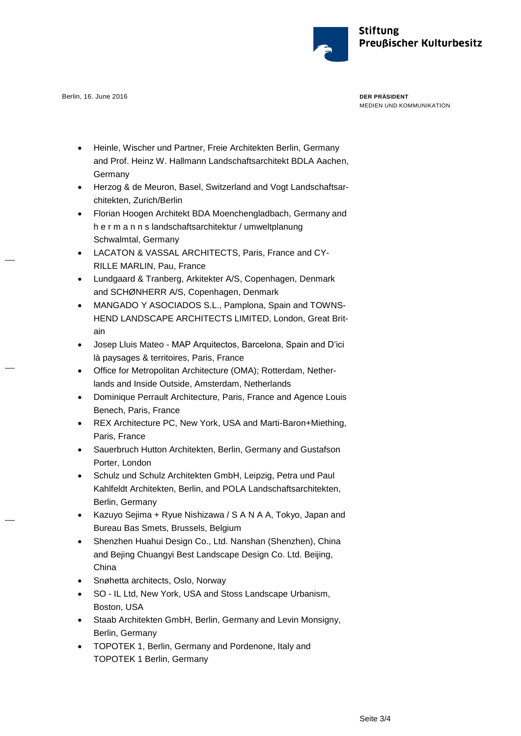

**DER PRÄSIDENT** MEDIEN UND KOMMUNIKATION

- Heinle, Wischer und Partner, Freie Architekten Berlin, Germany and Prof. Heinz W. Hallmann Landschaftsarchitekt BDLA Aachen, Germany
- Herzog & de Meuron, Basel, Switzerland and Vogt Landschaftsarchitekten, Zurich/Berlin
- Florian Hoogen Architekt BDA Moenchengladbach, Germany and h e r m a n n s landschaftsarchitektur / umweltplanung Schwalmtal, Germany
- LACATON & VASSAL ARCHITECTS, Paris, France and CY-RILLE MARLIN, Pau, France
- Lundgaard & Tranberg, Arkitekter A/S, Copenhagen, Denmark and SCHØNHERR A/S, Copenhagen, Denmark
- MANGADO Y ASOCIADOS S.L., Pamplona, Spain and TOWNS-HEND LANDSCAPE ARCHITECTS LIMITED, London, Great Britain
- Josep Lluis Mateo MAP Arquitectos, Barcelona, Spain and D'ici là paysages & territoires, Paris, France
- Office for Metropolitan Architecture (OMA); Rotterdam, Netherlands and Inside Outside, Amsterdam, Netherlands
- Dominique Perrault Architecture, Paris, France and Agence Louis Benech, Paris, France
- REX Architecture PC, New York, USA and Marti-Baron+Miething, Paris, France
- Sauerbruch Hutton Architekten, Berlin, Germany and Gustafson Porter, London
- Schulz und Schulz Architekten GmbH, Leipzig, Petra und Paul Kahlfeldt Architekten, Berlin, and POLA Landschaftsarchitekten, Berlin, Germany
- Kazuyo Sejima + Ryue Nishizawa / S A N A A, Tokyo, Japan and Bureau Bas Smets, Brussels, Belgium
- Shenzhen Huahui Design Co., Ltd. Nanshan (Shenzhen), China and Bejing Chuangyi Best Landscape Design Co. Ltd. Beijing, China
- Snøhetta architects, Oslo, Norway
- SO IL Ltd, New York, USA and Stoss Landscape Urbanism, Boston, USA
- Staab Architekten GmbH, Berlin, Germany and Levin Monsigny, Berlin, Germany
- TOPOTEK 1, Berlin, Germany and Pordenone, Italy and TOPOTEK 1 Berlin, Germany